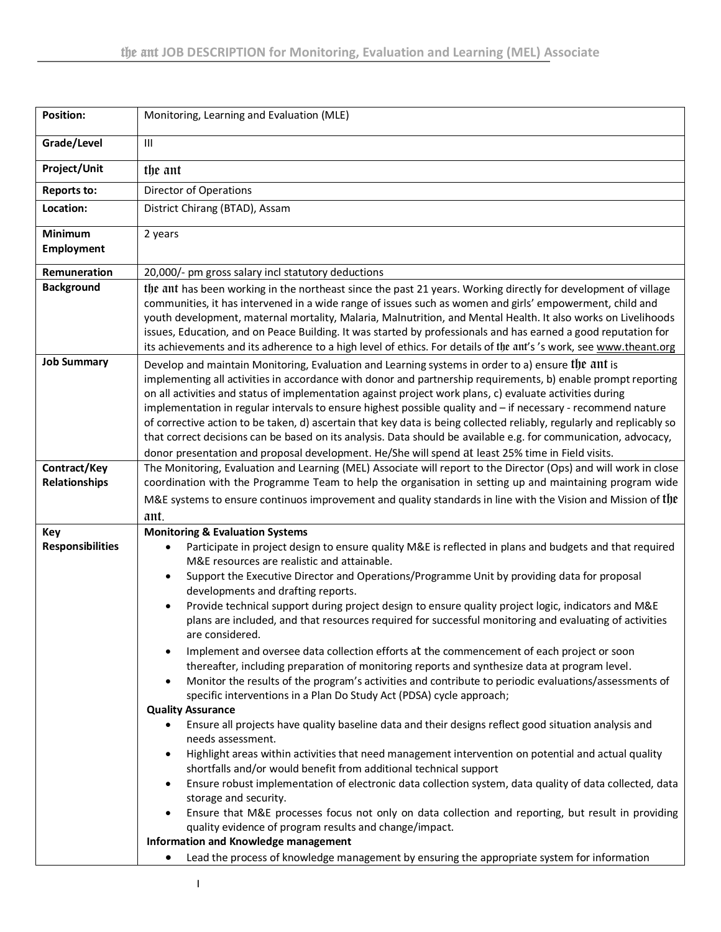| <b>Position:</b>                     | Monitoring, Learning and Evaluation (MLE)                                                                                                                                                                                                                                                                                                                                                                                                                                                                                                                                                                                                                                                                                                                                                                                                                                                                                                                                                                                                                                                                                                                                                                                                                                                                                                                                                                                                                                                                                                                                                                                                                                                                                                                                                              |  |  |  |  |  |  |  |
|--------------------------------------|--------------------------------------------------------------------------------------------------------------------------------------------------------------------------------------------------------------------------------------------------------------------------------------------------------------------------------------------------------------------------------------------------------------------------------------------------------------------------------------------------------------------------------------------------------------------------------------------------------------------------------------------------------------------------------------------------------------------------------------------------------------------------------------------------------------------------------------------------------------------------------------------------------------------------------------------------------------------------------------------------------------------------------------------------------------------------------------------------------------------------------------------------------------------------------------------------------------------------------------------------------------------------------------------------------------------------------------------------------------------------------------------------------------------------------------------------------------------------------------------------------------------------------------------------------------------------------------------------------------------------------------------------------------------------------------------------------------------------------------------------------------------------------------------------------|--|--|--|--|--|--|--|
| Grade/Level                          | $\mathbf{III}$                                                                                                                                                                                                                                                                                                                                                                                                                                                                                                                                                                                                                                                                                                                                                                                                                                                                                                                                                                                                                                                                                                                                                                                                                                                                                                                                                                                                                                                                                                                                                                                                                                                                                                                                                                                         |  |  |  |  |  |  |  |
| Project/Unit                         | the ant                                                                                                                                                                                                                                                                                                                                                                                                                                                                                                                                                                                                                                                                                                                                                                                                                                                                                                                                                                                                                                                                                                                                                                                                                                                                                                                                                                                                                                                                                                                                                                                                                                                                                                                                                                                                |  |  |  |  |  |  |  |
| <b>Reports to:</b>                   | Director of Operations                                                                                                                                                                                                                                                                                                                                                                                                                                                                                                                                                                                                                                                                                                                                                                                                                                                                                                                                                                                                                                                                                                                                                                                                                                                                                                                                                                                                                                                                                                                                                                                                                                                                                                                                                                                 |  |  |  |  |  |  |  |
| Location:                            | District Chirang (BTAD), Assam                                                                                                                                                                                                                                                                                                                                                                                                                                                                                                                                                                                                                                                                                                                                                                                                                                                                                                                                                                                                                                                                                                                                                                                                                                                                                                                                                                                                                                                                                                                                                                                                                                                                                                                                                                         |  |  |  |  |  |  |  |
| <b>Minimum</b><br><b>Employment</b>  | 2 years                                                                                                                                                                                                                                                                                                                                                                                                                                                                                                                                                                                                                                                                                                                                                                                                                                                                                                                                                                                                                                                                                                                                                                                                                                                                                                                                                                                                                                                                                                                                                                                                                                                                                                                                                                                                |  |  |  |  |  |  |  |
| Remuneration                         | 20,000/- pm gross salary incl statutory deductions                                                                                                                                                                                                                                                                                                                                                                                                                                                                                                                                                                                                                                                                                                                                                                                                                                                                                                                                                                                                                                                                                                                                                                                                                                                                                                                                                                                                                                                                                                                                                                                                                                                                                                                                                     |  |  |  |  |  |  |  |
| <b>Background</b>                    | the ant has been working in the northeast since the past 21 years. Working directly for development of village<br>communities, it has intervened in a wide range of issues such as women and girls' empowerment, child and<br>youth development, maternal mortality, Malaria, Malnutrition, and Mental Health. It also works on Livelihoods<br>issues, Education, and on Peace Building. It was started by professionals and has earned a good reputation for<br>its achievements and its adherence to a high level of ethics. For details of the ant's 's work, see www.theant.org                                                                                                                                                                                                                                                                                                                                                                                                                                                                                                                                                                                                                                                                                                                                                                                                                                                                                                                                                                                                                                                                                                                                                                                                                    |  |  |  |  |  |  |  |
| <b>Job Summary</b>                   | Develop and maintain Monitoring, Evaluation and Learning systems in order to a) ensure the ant is<br>implementing all activities in accordance with donor and partnership requirements, b) enable prompt reporting<br>on all activities and status of implementation against project work plans, c) evaluate activities during<br>implementation in regular intervals to ensure highest possible quality and - if necessary - recommend nature<br>of corrective action to be taken, d) ascertain that key data is being collected reliably, regularly and replicably so<br>that correct decisions can be based on its analysis. Data should be available e.g. for communication, advocacy,<br>donor presentation and proposal development. He/She will spend at least 25% time in Field visits.                                                                                                                                                                                                                                                                                                                                                                                                                                                                                                                                                                                                                                                                                                                                                                                                                                                                                                                                                                                                        |  |  |  |  |  |  |  |
| Contract/Key<br><b>Relationships</b> | The Monitoring, Evaluation and Learning (MEL) Associate will report to the Director (Ops) and will work in close<br>coordination with the Programme Team to help the organisation in setting up and maintaining program wide<br>M&E systems to ensure continuos improvement and quality standards in line with the Vision and Mission of the<br>ant.                                                                                                                                                                                                                                                                                                                                                                                                                                                                                                                                                                                                                                                                                                                                                                                                                                                                                                                                                                                                                                                                                                                                                                                                                                                                                                                                                                                                                                                   |  |  |  |  |  |  |  |
| Key<br><b>Responsibilities</b>       | <b>Monitoring &amp; Evaluation Systems</b><br>Participate in project design to ensure quality M&E is reflected in plans and budgets and that required<br>٠<br>M&E resources are realistic and attainable.<br>Support the Executive Director and Operations/Programme Unit by providing data for proposal<br>developments and drafting reports.<br>Provide technical support during project design to ensure quality project logic, indicators and M&E<br>$\bullet$<br>plans are included, and that resources required for successful monitoring and evaluating of activities<br>are considered.<br>Implement and oversee data collection efforts at the commencement of each project or soon<br>٠<br>thereafter, including preparation of monitoring reports and synthesize data at program level.<br>Monitor the results of the program's activities and contribute to periodic evaluations/assessments of<br>$\bullet$<br>specific interventions in a Plan Do Study Act (PDSA) cycle approach;<br><b>Quality Assurance</b><br>Ensure all projects have quality baseline data and their designs reflect good situation analysis and<br>needs assessment.<br>Highlight areas within activities that need management intervention on potential and actual quality<br>shortfalls and/or would benefit from additional technical support<br>Ensure robust implementation of electronic data collection system, data quality of data collected, data<br>٠<br>storage and security.<br>Ensure that M&E processes focus not only on data collection and reporting, but result in providing<br>٠<br>quality evidence of program results and change/impact.<br><b>Information and Knowledge management</b><br>Lead the process of knowledge management by ensuring the appropriate system for information<br>٠ |  |  |  |  |  |  |  |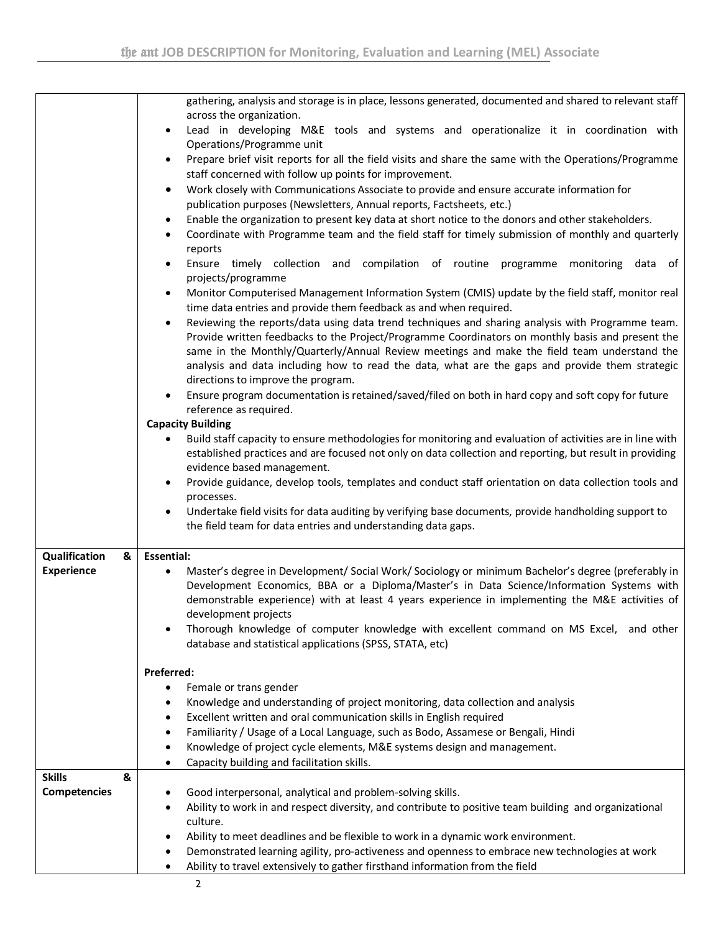|                     | gathering, analysis and storage is in place, lessons generated, documented and shared to relevant staff<br>across the organization.                                                                                                |  |  |  |  |  |  |  |  |  |  |
|---------------------|------------------------------------------------------------------------------------------------------------------------------------------------------------------------------------------------------------------------------------|--|--|--|--|--|--|--|--|--|--|
|                     | Lead in developing M&E tools and systems and operationalize it in coordination with                                                                                                                                                |  |  |  |  |  |  |  |  |  |  |
|                     | Operations/Programme unit<br>Prepare brief visit reports for all the field visits and share the same with the Operations/Programme                                                                                                 |  |  |  |  |  |  |  |  |  |  |
|                     | staff concerned with follow up points for improvement.                                                                                                                                                                             |  |  |  |  |  |  |  |  |  |  |
|                     | Work closely with Communications Associate to provide and ensure accurate information for<br>٠                                                                                                                                     |  |  |  |  |  |  |  |  |  |  |
|                     | publication purposes (Newsletters, Annual reports, Factsheets, etc.)                                                                                                                                                               |  |  |  |  |  |  |  |  |  |  |
|                     | Enable the organization to present key data at short notice to the donors and other stakeholders.<br>Coordinate with Programme team and the field staff for timely submission of monthly and quarterly                             |  |  |  |  |  |  |  |  |  |  |
|                     | reports                                                                                                                                                                                                                            |  |  |  |  |  |  |  |  |  |  |
|                     | Ensure timely collection and compilation of routine programme monitoring data of<br>projects/programme                                                                                                                             |  |  |  |  |  |  |  |  |  |  |
|                     | Monitor Computerised Management Information System (CMIS) update by the field staff, monitor real                                                                                                                                  |  |  |  |  |  |  |  |  |  |  |
|                     | time data entries and provide them feedback as and when required.                                                                                                                                                                  |  |  |  |  |  |  |  |  |  |  |
|                     | Reviewing the reports/data using data trend techniques and sharing analysis with Programme team.<br>$\bullet$                                                                                                                      |  |  |  |  |  |  |  |  |  |  |
|                     | Provide written feedbacks to the Project/Programme Coordinators on monthly basis and present the                                                                                                                                   |  |  |  |  |  |  |  |  |  |  |
|                     | same in the Monthly/Quarterly/Annual Review meetings and make the field team understand the<br>analysis and data including how to read the data, what are the gaps and provide them strategic                                      |  |  |  |  |  |  |  |  |  |  |
|                     | directions to improve the program.                                                                                                                                                                                                 |  |  |  |  |  |  |  |  |  |  |
|                     | Ensure program documentation is retained/saved/filed on both in hard copy and soft copy for future                                                                                                                                 |  |  |  |  |  |  |  |  |  |  |
|                     | reference as required.                                                                                                                                                                                                             |  |  |  |  |  |  |  |  |  |  |
|                     | <b>Capacity Building</b>                                                                                                                                                                                                           |  |  |  |  |  |  |  |  |  |  |
|                     | Build staff capacity to ensure methodologies for monitoring and evaluation of activities are in line with<br>$\bullet$<br>established practices and are focused not only on data collection and reporting, but result in providing |  |  |  |  |  |  |  |  |  |  |
|                     | evidence based management.                                                                                                                                                                                                         |  |  |  |  |  |  |  |  |  |  |
|                     | Provide guidance, develop tools, templates and conduct staff orientation on data collection tools and                                                                                                                              |  |  |  |  |  |  |  |  |  |  |
|                     | processes.                                                                                                                                                                                                                         |  |  |  |  |  |  |  |  |  |  |
|                     | Undertake field visits for data auditing by verifying base documents, provide handholding support to                                                                                                                               |  |  |  |  |  |  |  |  |  |  |
|                     | the field team for data entries and understanding data gaps.                                                                                                                                                                       |  |  |  |  |  |  |  |  |  |  |
| Qualification<br>&  | <b>Essential:</b>                                                                                                                                                                                                                  |  |  |  |  |  |  |  |  |  |  |
| <b>Experience</b>   | Master's degree in Development/ Social Work/ Sociology or minimum Bachelor's degree (preferably in<br>$\bullet$                                                                                                                    |  |  |  |  |  |  |  |  |  |  |
|                     | Development Economics, BBA or a Diploma/Master's in Data Science/Information Systems with                                                                                                                                          |  |  |  |  |  |  |  |  |  |  |
|                     | demonstrable experience) with at least 4 years experience in implementing the M&E activities of<br>development projects                                                                                                            |  |  |  |  |  |  |  |  |  |  |
|                     | Thorough knowledge of computer knowledge with excellent command on MS Excel, and other                                                                                                                                             |  |  |  |  |  |  |  |  |  |  |
|                     | database and statistical applications (SPSS, STATA, etc)                                                                                                                                                                           |  |  |  |  |  |  |  |  |  |  |
|                     |                                                                                                                                                                                                                                    |  |  |  |  |  |  |  |  |  |  |
|                     | Preferred:                                                                                                                                                                                                                         |  |  |  |  |  |  |  |  |  |  |
|                     | Female or trans gender<br>Knowledge and understanding of project monitoring, data collection and analysis                                                                                                                          |  |  |  |  |  |  |  |  |  |  |
|                     | Excellent written and oral communication skills in English required<br>٠                                                                                                                                                           |  |  |  |  |  |  |  |  |  |  |
|                     | Familiarity / Usage of a Local Language, such as Bodo, Assamese or Bengali, Hindi<br>٠                                                                                                                                             |  |  |  |  |  |  |  |  |  |  |
|                     | Knowledge of project cycle elements, M&E systems design and management.<br>٠                                                                                                                                                       |  |  |  |  |  |  |  |  |  |  |
|                     | Capacity building and facilitation skills.<br>$\bullet$                                                                                                                                                                            |  |  |  |  |  |  |  |  |  |  |
| <b>Skills</b><br>&  |                                                                                                                                                                                                                                    |  |  |  |  |  |  |  |  |  |  |
| <b>Competencies</b> | Good interpersonal, analytical and problem-solving skills.<br>Ability to work in and respect diversity, and contribute to positive team building and organizational                                                                |  |  |  |  |  |  |  |  |  |  |
|                     | culture.                                                                                                                                                                                                                           |  |  |  |  |  |  |  |  |  |  |
|                     | Ability to meet deadlines and be flexible to work in a dynamic work environment.                                                                                                                                                   |  |  |  |  |  |  |  |  |  |  |
|                     | Demonstrated learning agility, pro-activeness and openness to embrace new technologies at work                                                                                                                                     |  |  |  |  |  |  |  |  |  |  |
|                     | Ability to travel extensively to gather firsthand information from the field<br>٠                                                                                                                                                  |  |  |  |  |  |  |  |  |  |  |